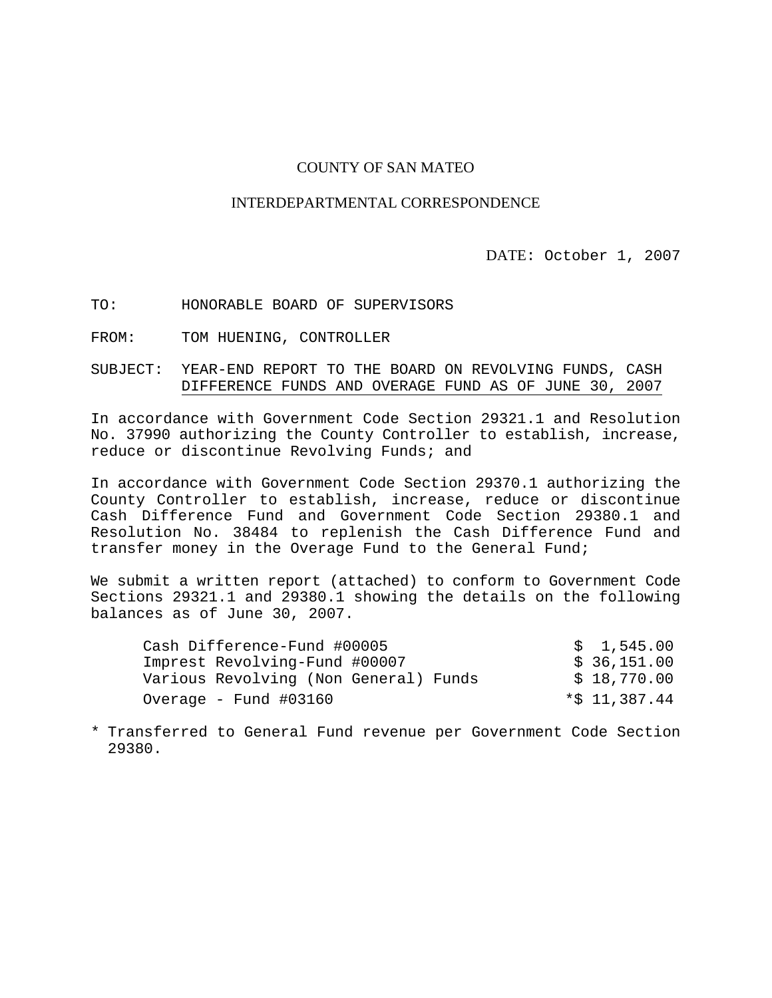#### COUNTY OF SAN MATEO

#### INTERDEPARTMENTAL CORRESPONDENCE

#### DATE: October 1, 2007

TO: HONORABLE BOARD OF SUPERVISORS

FROM: TOM HUENING, CONTROLLER

#### SUBJECT: YEAR-END REPORT TO THE BOARD ON REVOLVING FUNDS, CASH DIFFERENCE FUNDS AND OVERAGE FUND AS OF JUNE 30, 2007

In accordance with Government Code Section 29321.1 and Resolution No. 37990 authorizing the County Controller to establish, increase, reduce or discontinue Revolving Funds; and

In accordance with Government Code Section 29370.1 authorizing the County Controller to establish, increase, reduce or discontinue Cash Difference Fund and Government Code Section 29380.1 and Resolution No. 38484 to replenish the Cash Difference Fund and transfer money in the Overage Fund to the General Fund;

We submit a written report (attached) to conform to Government Code Sections 29321.1 and 29380.1 showing the details on the following balances as of June 30, 2007.

| Cash Difference-Fund #00005           | \$1,545.00       |
|---------------------------------------|------------------|
| Imprest Revolving-Fund #00007         | \$ 36,151.00     |
| Various Revolving (Non General) Funds | \$18,770.00      |
| Overage - Fund $\#03160$              | $*$ \$ 11,387.44 |

<sup>\*</sup> Transferred to General Fund revenue per Government Code Section 29380.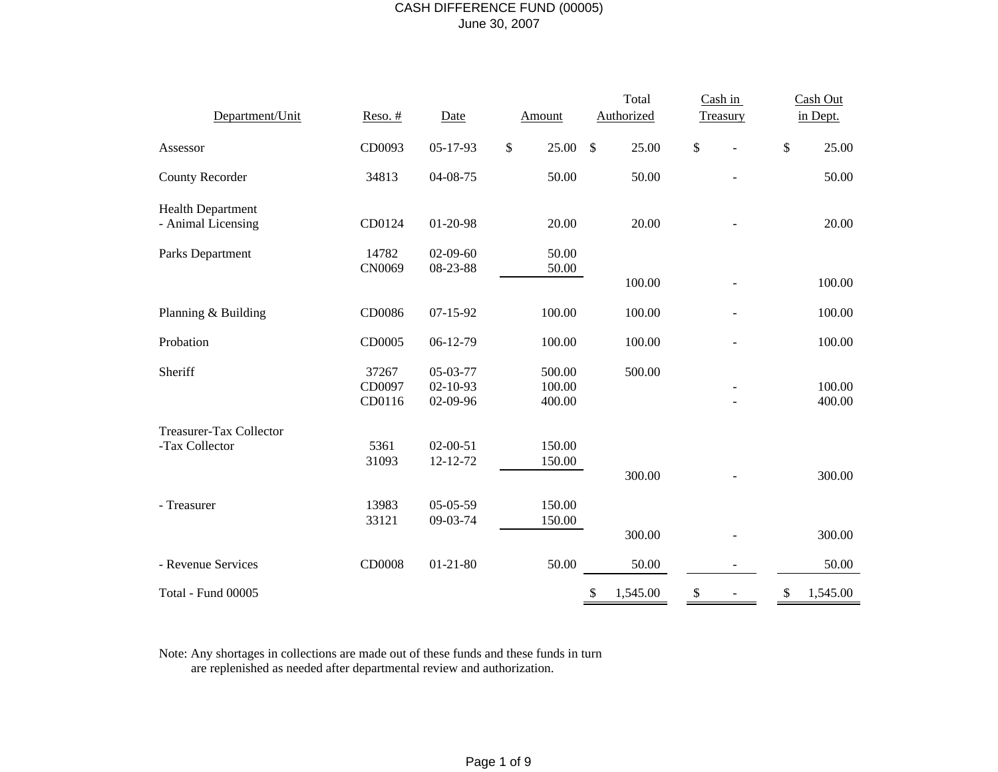# CASH DIFFERENCE FUND (00005) June 30, 2007

|                                                |                           |                                        |                            | Total          | Cash in  | Cash Out         |
|------------------------------------------------|---------------------------|----------------------------------------|----------------------------|----------------|----------|------------------|
| Department/Unit                                | $Reso.$ #                 | Date                                   | <b>Amount</b>              | Authorized     | Treasury | in Dept.         |
| Assessor                                       | CD0093                    | $05 - 17 - 93$                         | \$<br>25.00                | \$<br>25.00    | \$       | \$<br>25.00      |
| <b>County Recorder</b>                         | 34813                     | 04-08-75                               | 50.00                      | 50.00          |          | 50.00            |
| <b>Health Department</b><br>- Animal Licensing | CD0124                    | 01-20-98                               | 20.00                      | 20.00          |          | 20.00            |
| Parks Department                               | 14782                     | $02-09-60$                             | 50.00                      |                |          |                  |
|                                                | CN0069                    | 08-23-88                               | 50.00                      | 100.00         |          | 100.00           |
| Planning & Building                            | CD0086                    | $07 - 15 - 92$                         | 100.00                     | 100.00         |          | 100.00           |
| Probation                                      | CD0005                    | $06-12-79$                             | 100.00                     | 100.00         |          | 100.00           |
| Sheriff                                        | 37267<br>CD0097<br>CD0116 | 05-03-77<br>$02 - 10 - 93$<br>02-09-96 | 500.00<br>100.00<br>400.00 | 500.00         |          | 100.00<br>400.00 |
| Treasurer-Tax Collector                        |                           |                                        |                            |                |          |                  |
| -Tax Collector                                 | 5361<br>31093             | $02 - 00 - 51$<br>12-12-72             | 150.00<br>150.00           | 300.00         |          | 300.00           |
| - Treasurer                                    | 13983<br>33121            | $05-05-59$<br>09-03-74                 | 150.00<br>150.00           |                |          |                  |
|                                                |                           |                                        |                            | 300.00         |          | 300.00           |
| - Revenue Services                             | CD0008                    | $01 - 21 - 80$                         | 50.00                      | 50.00          |          | 50.00            |
| Total - Fund 00005                             |                           |                                        |                            | 1,545.00<br>\$ | \$       | 1,545.00<br>\$   |

Note: Any shortages in collections are made out of these funds and these funds in turn are replenished as needed after departmental review and authorization.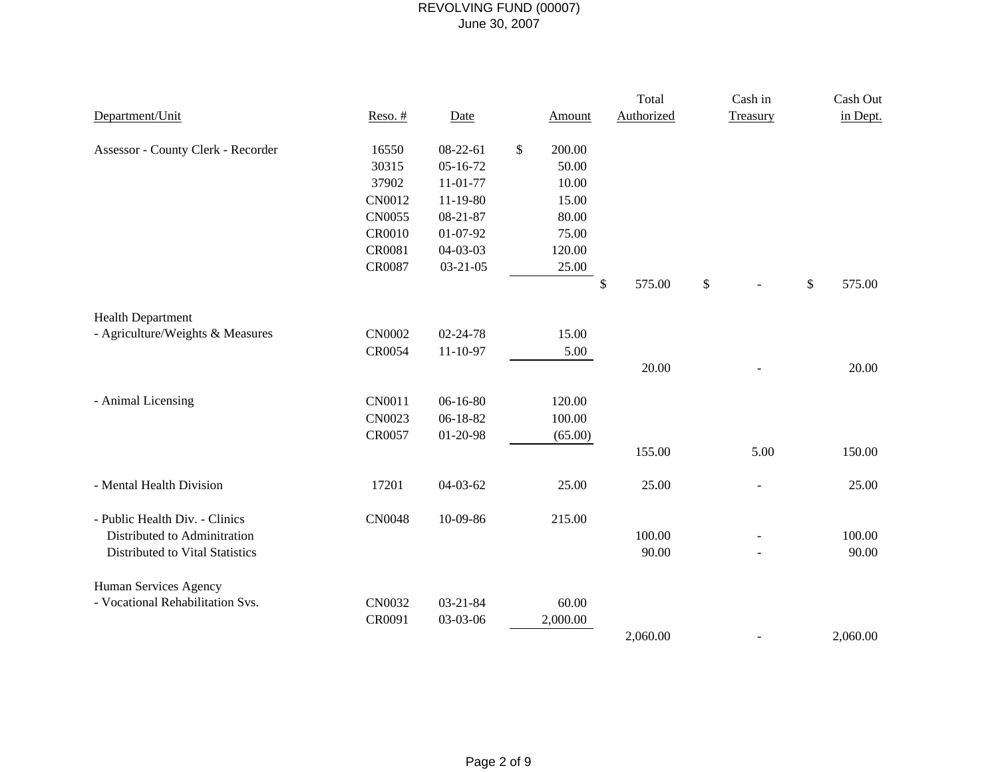|                                    |           |                |               | Total        | Cash in  | Cash Out     |
|------------------------------------|-----------|----------------|---------------|--------------|----------|--------------|
| Department/Unit                    | $Reso.$ # | Date           | <b>Amount</b> | Authorized   | Treasury | in Dept.     |
| Assessor - County Clerk - Recorder | 16550     | $08-22-61$     | \$<br>200.00  |              |          |              |
|                                    | 30315     | $05 - 16 - 72$ | 50.00         |              |          |              |
|                                    | 37902     | $11 - 01 - 77$ | 10.00         |              |          |              |
|                                    | CN0012    | $11-19-80$     | 15.00         |              |          |              |
|                                    | CN0055    | $08 - 21 - 87$ | 80.00         |              |          |              |
|                                    | CR0010    | 01-07-92       | 75.00         |              |          |              |
|                                    | CR0081    | 04-03-03       | 120.00        |              |          |              |
|                                    | CR0087    | $03 - 21 - 05$ | 25.00         |              |          |              |
|                                    |           |                |               | \$<br>575.00 | \$       | \$<br>575.00 |
| <b>Health Department</b>           |           |                |               |              |          |              |
| - Agriculture/Weights & Measures   | CN0002    | 02-24-78       | 15.00         |              |          |              |
|                                    | CR0054    | 11-10-97       | 5.00          |              |          |              |
|                                    |           |                |               | 20.00        |          | 20.00        |
| - Animal Licensing                 | CN0011    | $06-16-80$     | 120.00        |              |          |              |
|                                    | CN0023    | 06-18-82       | 100.00        |              |          |              |
|                                    | CR0057    | 01-20-98       | (65.00)       |              |          |              |
|                                    |           |                |               | 155.00       | 5.00     | 150.00       |
| - Mental Health Division           | 17201     | $04 - 03 - 62$ | 25.00         | 25.00        |          | 25.00        |
|                                    |           |                |               |              |          |              |
| - Public Health Div. - Clinics     | CN0048    | 10-09-86       | 215.00        |              |          |              |
| Distributed to Adminitration       |           |                |               | 100.00       |          | 100.00       |
| Distributed to Vital Statistics    |           |                |               | 90.00        |          | 90.00        |
| Human Services Agency              |           |                |               |              |          |              |
| - Vocational Rehabilitation Svs.   | CN0032    | $03 - 21 - 84$ | 60.00         |              |          |              |
|                                    | CR0091    | 03-03-06       | 2,000.00      |              |          |              |
|                                    |           |                |               | 2,060.00     |          | 2,060.00     |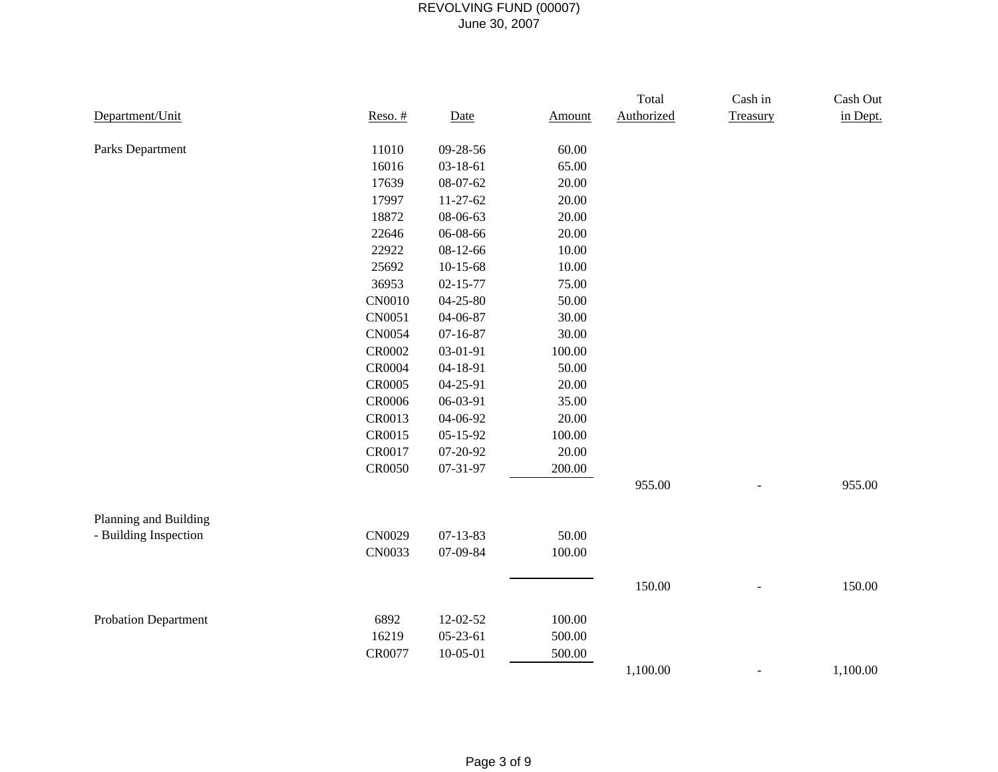|                             |               |                |        | Total      | Cash in  | Cash Out |
|-----------------------------|---------------|----------------|--------|------------|----------|----------|
| Department/Unit             | $Reso.$ #     | Date           | Amount | Authorized | Treasury | in Dept. |
| Parks Department            | 11010         | 09-28-56       | 60.00  |            |          |          |
|                             | 16016         | 03-18-61       | 65.00  |            |          |          |
|                             | 17639         | 08-07-62       | 20.00  |            |          |          |
|                             | 17997         | $11-27-62$     | 20.00  |            |          |          |
|                             | 18872         | 08-06-63       | 20.00  |            |          |          |
|                             | 22646         | 06-08-66       | 20.00  |            |          |          |
|                             | 22922         | 08-12-66       | 10.00  |            |          |          |
|                             | 25692         | $10-15-68$     | 10.00  |            |          |          |
|                             | 36953         | $02 - 15 - 77$ | 75.00  |            |          |          |
|                             | CN0010        | 04-25-80       | 50.00  |            |          |          |
|                             | CN0051        | 04-06-87       | 30.00  |            |          |          |
|                             | CN0054        | $07 - 16 - 87$ | 30.00  |            |          |          |
|                             | CR0002        | 03-01-91       | 100.00 |            |          |          |
|                             | CR0004        | 04-18-91       | 50.00  |            |          |          |
|                             | CR0005        | 04-25-91       | 20.00  |            |          |          |
|                             | <b>CR0006</b> | 06-03-91       | 35.00  |            |          |          |
|                             | CR0013        | 04-06-92       | 20.00  |            |          |          |
|                             | CR0015        | $05 - 15 - 92$ | 100.00 |            |          |          |
|                             | CR0017        | 07-20-92       | 20.00  |            |          |          |
|                             | CR0050        | 07-31-97       | 200.00 |            |          |          |
|                             |               |                |        | 955.00     |          | 955.00   |
| Planning and Building       |               |                |        |            |          |          |
| - Building Inspection       | CN0029        | $07 - 13 - 83$ | 50.00  |            |          |          |
|                             | CN0033        | 07-09-84       | 100.00 |            |          |          |
|                             |               |                |        | 150.00     |          | 150.00   |
|                             |               |                |        |            |          |          |
| <b>Probation Department</b> | 6892          | 12-02-52       | 100.00 |            |          |          |
|                             | 16219         | $05-23-61$     | 500.00 |            |          |          |
|                             | CR0077        | $10 - 05 - 01$ | 500.00 |            |          |          |
|                             |               |                |        | 1,100.00   |          | 1,100.00 |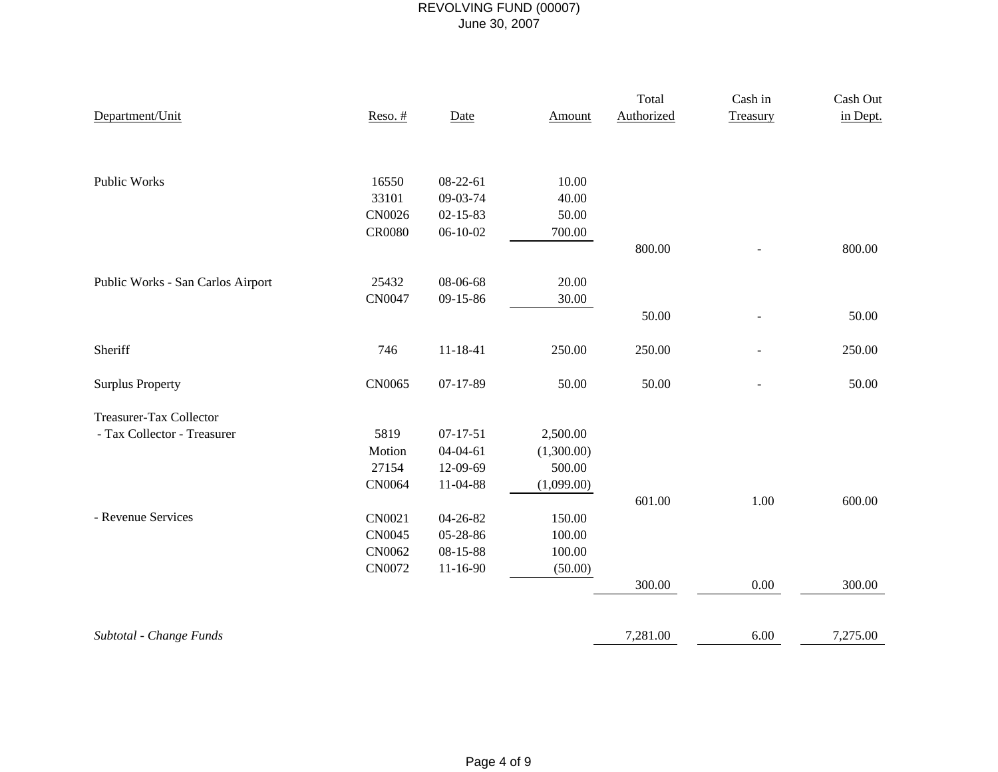|                                   |               |                |               | Total      | Cash in       | Cash Out |
|-----------------------------------|---------------|----------------|---------------|------------|---------------|----------|
| Department/Unit                   | $Reso.$ #     | Date           | <b>Amount</b> | Authorized | Treasury      | in Dept. |
|                                   |               |                |               |            |               |          |
|                                   |               |                |               |            |               |          |
| Public Works                      | 16550         | 08-22-61       | 10.00         |            |               |          |
|                                   | 33101         | 09-03-74       | 40.00         |            |               |          |
|                                   | CN0026        | $02 - 15 - 83$ | 50.00         |            |               |          |
|                                   | <b>CR0080</b> | $06-10-02$     | 700.00        |            |               |          |
|                                   |               |                |               | 800.00     |               | 800.00   |
|                                   |               |                |               |            |               |          |
| Public Works - San Carlos Airport | 25432         | 08-06-68       | 20.00         |            |               |          |
|                                   | CN0047        | 09-15-86       | 30.00         |            |               |          |
|                                   |               |                |               | 50.00      | $\frac{1}{2}$ | 50.00    |
| Sheriff                           | 746           | $11 - 18 - 41$ | 250.00        | 250.00     |               | 250.00   |
| <b>Surplus Property</b>           | CN0065        | $07-17-89$     | 50.00         | 50.00      |               | 50.00    |
|                                   |               |                |               |            |               |          |
| Treasurer-Tax Collector           |               |                |               |            |               |          |
| - Tax Collector - Treasurer       | 5819          | $07 - 17 - 51$ | 2,500.00      |            |               |          |
|                                   | Motion        | $04 - 04 - 61$ | (1,300.00)    |            |               |          |
|                                   | 27154         | 12-09-69       | 500.00        |            |               |          |
|                                   | CN0064        | 11-04-88       | (1,099.00)    |            |               |          |
|                                   |               |                |               | 601.00     | 1.00          | 600.00   |
| - Revenue Services                | CN0021        | 04-26-82       | 150.00        |            |               |          |
|                                   | CN0045        | 05-28-86       | 100.00        |            |               |          |
|                                   | CN0062        | 08-15-88       | 100.00        |            |               |          |
|                                   | CN0072        | $11 - 16 - 90$ | (50.00)       |            |               |          |
|                                   |               |                |               | 300.00     | 0.00          | 300.00   |
|                                   |               |                |               |            |               |          |
| Subtotal - Change Funds           |               |                |               | 7,281.00   | 6.00          | 7,275.00 |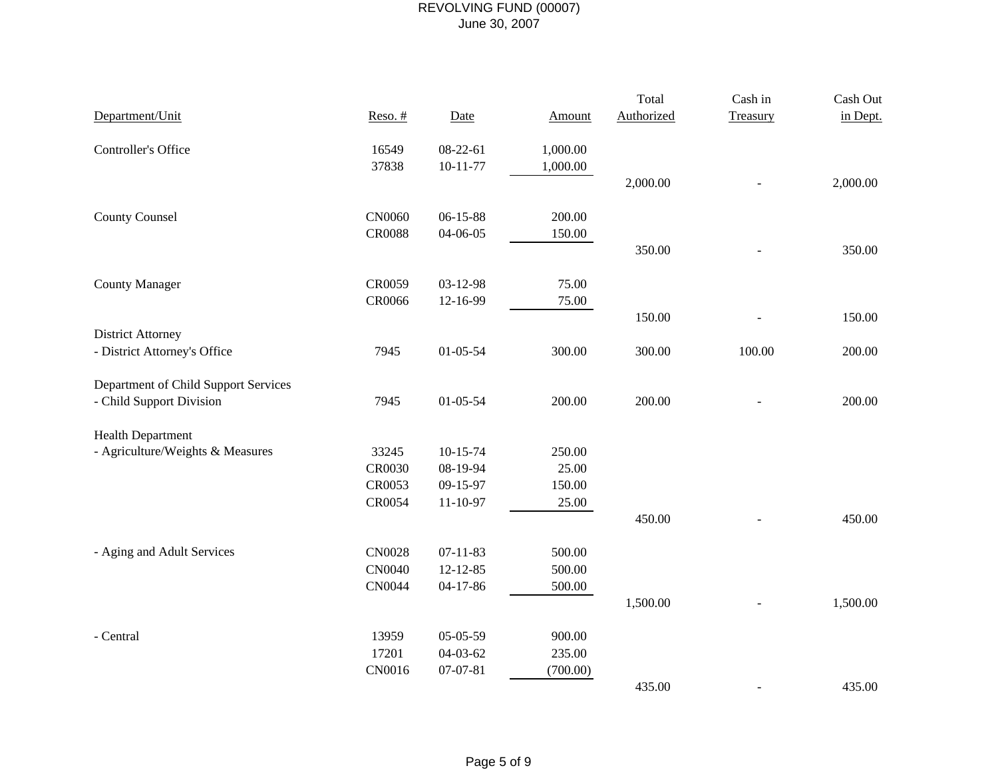|                                      |               |                |          | Total      | Cash in  | Cash Out |
|--------------------------------------|---------------|----------------|----------|------------|----------|----------|
| Department/Unit                      | $Reso.$ #     | Date           | Amount   | Authorized | Treasury | in Dept. |
| Controller's Office                  | 16549         | $08-22-61$     | 1,000.00 |            |          |          |
|                                      | 37838         | $10 - 11 - 77$ | 1,000.00 |            |          |          |
|                                      |               |                |          | 2,000.00   |          | 2,000.00 |
| <b>County Counsel</b>                | CN0060        | $06 - 15 - 88$ | 200.00   |            |          |          |
|                                      | <b>CR0088</b> | 04-06-05       | 150.00   |            |          |          |
|                                      |               |                |          | 350.00     |          | 350.00   |
| <b>County Manager</b>                | CR0059        | 03-12-98       | 75.00    |            |          |          |
|                                      | CR0066        | 12-16-99       | 75.00    |            |          |          |
|                                      |               |                |          | 150.00     |          | 150.00   |
| <b>District Attorney</b>             |               |                |          |            |          |          |
| - District Attorney's Office         | 7945          | $01 - 05 - 54$ | 300.00   | 300.00     | 100.00   | 200.00   |
| Department of Child Support Services |               |                |          |            |          |          |
| - Child Support Division             | 7945          | $01 - 05 - 54$ | 200.00   | 200.00     |          | 200.00   |
| <b>Health Department</b>             |               |                |          |            |          |          |
| - Agriculture/Weights & Measures     | 33245         | $10-15-74$     | 250.00   |            |          |          |
|                                      | CR0030        | 08-19-94       | 25.00    |            |          |          |
|                                      | CR0053        | $09-15-97$     | 150.00   |            |          |          |
|                                      | CR0054        | $11 - 10 - 97$ | 25.00    |            |          |          |
|                                      |               |                |          | 450.00     |          | 450.00   |
| - Aging and Adult Services           | CN0028        | $07 - 11 - 83$ | 500.00   |            |          |          |
|                                      | <b>CN0040</b> | $12 - 12 - 85$ | 500.00   |            |          |          |
|                                      | CN0044        | $04 - 17 - 86$ | 500.00   |            |          |          |
|                                      |               |                |          | 1,500.00   |          | 1,500.00 |
| - Central                            | 13959         | $05-05-59$     | 900.00   |            |          |          |
|                                      | 17201         | $04 - 03 - 62$ | 235.00   |            |          |          |
|                                      | CN0016        | $07 - 07 - 81$ | (700.00) |            |          |          |
|                                      |               |                |          | 435.00     |          | 435.00   |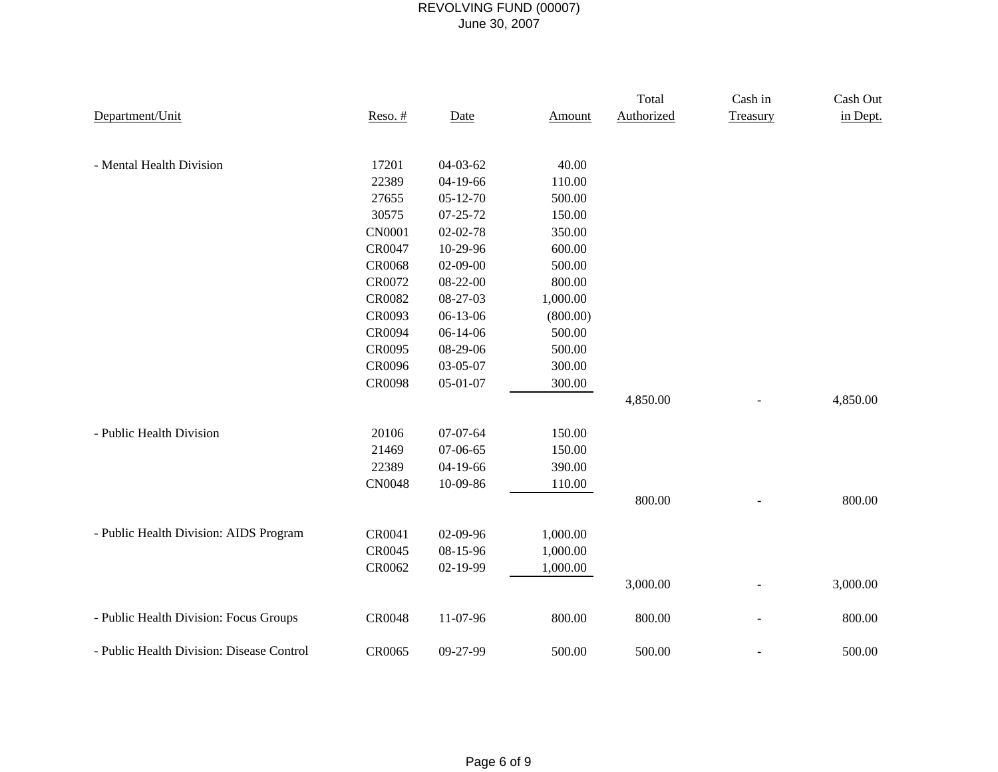|                                           |               |                |          | Total      | Cash in  | Cash Out |
|-------------------------------------------|---------------|----------------|----------|------------|----------|----------|
| Department/Unit                           | $Reso.$ #     | Date           | Amount   | Authorized | Treasury | in Dept. |
|                                           |               |                |          |            |          |          |
|                                           |               |                |          |            |          |          |
| - Mental Health Division                  | 17201         | $04 - 03 - 62$ | 40.00    |            |          |          |
|                                           | 22389         | $04-19-66$     | 110.00   |            |          |          |
|                                           | 27655         | $05 - 12 - 70$ | 500.00   |            |          |          |
|                                           | 30575         | $07 - 25 - 72$ | 150.00   |            |          |          |
|                                           | <b>CN0001</b> | $02 - 02 - 78$ | 350.00   |            |          |          |
|                                           | CR0047        | 10-29-96       | 600.00   |            |          |          |
|                                           | CR0068        | $02-09-00$     | 500.00   |            |          |          |
|                                           | CR0072        | 08-22-00       | 800.00   |            |          |          |
|                                           | CR0082        | 08-27-03       | 1,000.00 |            |          |          |
|                                           | CR0093        | 06-13-06       | (800.00) |            |          |          |
|                                           | CR0094        | $06-14-06$     | 500.00   |            |          |          |
|                                           | CR0095        | 08-29-06       | 500.00   |            |          |          |
|                                           | CR0096        | 03-05-07       | 300.00   |            |          |          |
|                                           | CR0098        | 05-01-07       | 300.00   |            |          |          |
|                                           |               |                |          | 4,850.00   |          | 4,850.00 |
|                                           |               |                |          |            |          |          |
| - Public Health Division                  | 20106         | $07-07-64$     | 150.00   |            |          |          |
|                                           | 21469         | $07-06-65$     | 150.00   |            |          |          |
|                                           | 22389         | 04-19-66       | 390.00   |            |          |          |
|                                           | <b>CN0048</b> | 10-09-86       | 110.00   |            |          |          |
|                                           |               |                |          | 800.00     |          | 800.00   |
|                                           |               |                |          |            |          |          |
| - Public Health Division: AIDS Program    | CR0041        | 02-09-96       | 1,000.00 |            |          |          |
|                                           | CR0045        | 08-15-96       | 1,000.00 |            |          |          |
|                                           | CR0062        | 02-19-99       | 1,000.00 |            |          |          |
|                                           |               |                |          | 3,000.00   |          | 3,000.00 |
|                                           |               |                |          |            |          |          |
| - Public Health Division: Focus Groups    | CR0048        | 11-07-96       | 800.00   | 800.00     |          | 800.00   |
| - Public Health Division: Disease Control | CR0065        | 09-27-99       | 500.00   | 500.00     |          | 500.00   |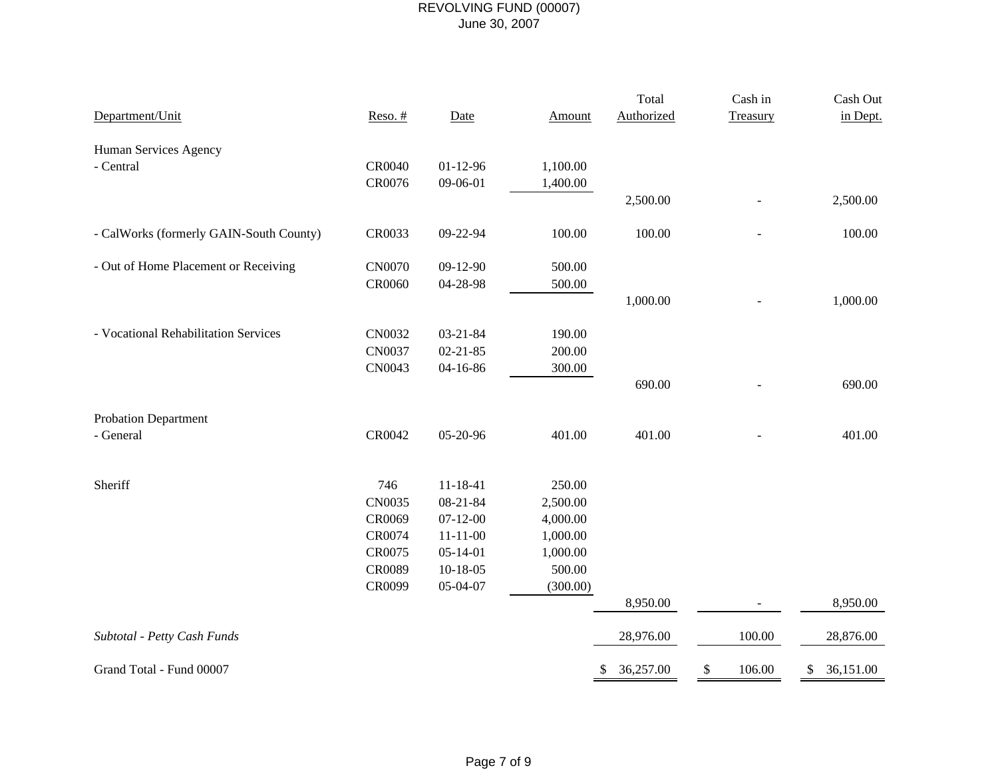|                                         |               |                |               | Total           | Cash in      | Cash Out        |
|-----------------------------------------|---------------|----------------|---------------|-----------------|--------------|-----------------|
| Department/Unit                         | $Reso.$ #     | Date           | <b>Amount</b> | Authorized      | Treasury     | in Dept.        |
| Human Services Agency                   |               |                |               |                 |              |                 |
| - Central                               | CR0040        | $01 - 12 - 96$ | 1,100.00      |                 |              |                 |
|                                         | CR0076        | 09-06-01       | 1,400.00      |                 |              |                 |
|                                         |               |                |               | 2,500.00        |              | 2,500.00        |
| - CalWorks (formerly GAIN-South County) | CR0033        | 09-22-94       | 100.00        | 100.00          |              | 100.00          |
|                                         |               |                |               |                 |              |                 |
| - Out of Home Placement or Receiving    | CN0070        | 09-12-90       | 500.00        |                 |              |                 |
|                                         | CR0060        | 04-28-98       | 500.00        |                 |              |                 |
|                                         |               |                |               | 1,000.00        |              | 1,000.00        |
| - Vocational Rehabilitation Services    | CN0032        | $03 - 21 - 84$ | 190.00        |                 |              |                 |
|                                         | <b>CN0037</b> | $02 - 21 - 85$ | 200.00        |                 |              |                 |
|                                         | CN0043        | 04-16-86       | 300.00        |                 |              |                 |
|                                         |               |                |               | 690.00          |              | 690.00          |
| <b>Probation Department</b>             |               |                |               |                 |              |                 |
| - General                               | CR0042        | 05-20-96       | 401.00        | 401.00          |              | 401.00          |
| Sheriff                                 | 746           | $11 - 18 - 41$ | 250.00        |                 |              |                 |
|                                         | CN0035        | 08-21-84       | 2,500.00      |                 |              |                 |
|                                         | CR0069        | $07 - 12 - 00$ | 4,000.00      |                 |              |                 |
|                                         | CR0074        | $11 - 11 - 00$ | 1,000.00      |                 |              |                 |
|                                         | CR0075        | $05 - 14 - 01$ | 1,000.00      |                 |              |                 |
|                                         | CR0089        | $10-18-05$     | 500.00        |                 |              |                 |
|                                         | CR0099        | 05-04-07       | (300.00)      |                 |              |                 |
|                                         |               |                |               | 8,950.00        |              | 8,950.00        |
| Subtotal - Petty Cash Funds             |               |                |               | 28,976.00       | 100.00       | 28,876.00       |
| Grand Total - Fund 00007                |               |                |               | 36,257.00<br>\$ | \$<br>106.00 | 36,151.00<br>\$ |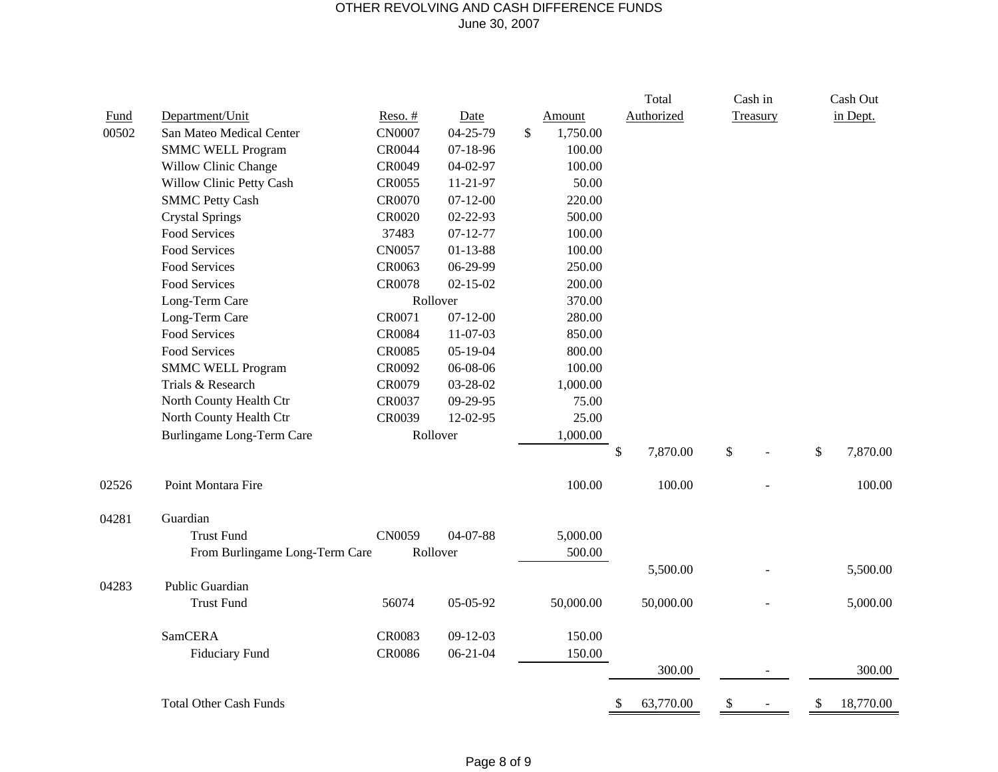#### OTHER REVOLVING AND CASH DIFFERENCE FUNDS June 30, 2007

|       |                                |               |                |    |           | Total           | Cash in  | Cash Out        |
|-------|--------------------------------|---------------|----------------|----|-----------|-----------------|----------|-----------------|
| Fund  | Department/Unit                | $Reso.$ #     | Date           |    | Amount    | Authorized      | Treasury | in Dept.        |
| 00502 | San Mateo Medical Center       | CN0007        | 04-25-79       | \$ | 1,750.00  |                 |          |                 |
|       | <b>SMMC WELL Program</b>       | CR0044        | $07 - 18 - 96$ |    | 100.00    |                 |          |                 |
|       | Willow Clinic Change           | CR0049        | 04-02-97       |    | 100.00    |                 |          |                 |
|       | Willow Clinic Petty Cash       | CR0055        | $11 - 21 - 97$ |    | 50.00     |                 |          |                 |
|       | <b>SMMC Petty Cash</b>         | CR0070        | $07 - 12 - 00$ |    | 220.00    |                 |          |                 |
|       | <b>Crystal Springs</b>         | CR0020        | 02-22-93       |    | 500.00    |                 |          |                 |
|       | Food Services                  | 37483         | $07 - 12 - 77$ |    | 100.00    |                 |          |                 |
|       | <b>Food Services</b>           | CN0057        | $01 - 13 - 88$ |    | 100.00    |                 |          |                 |
|       | Food Services                  | CR0063        | 06-29-99       |    | 250.00    |                 |          |                 |
|       | Food Services                  | CR0078        | $02 - 15 - 02$ |    | 200.00    |                 |          |                 |
|       | Long-Term Care<br>Rollover     |               |                |    | 370.00    |                 |          |                 |
|       | Long-Term Care                 | CR0071        | $07 - 12 - 00$ |    | 280.00    |                 |          |                 |
|       | Food Services                  | <b>CR0084</b> | 11-07-03       |    | 850.00    |                 |          |                 |
|       | Food Services                  | CR0085        | $05-19-04$     |    | 800.00    |                 |          |                 |
|       | <b>SMMC WELL Program</b>       | CR0092        | 06-08-06       |    | 100.00    |                 |          |                 |
|       | Trials & Research              | CR0079        | 03-28-02       |    | 1,000.00  |                 |          |                 |
|       | North County Health Ctr        | CR0037        | 09-29-95       |    | 75.00     |                 |          |                 |
|       | North County Health Ctr        | CR0039        | 12-02-95       |    | 25.00     |                 |          |                 |
|       | Burlingame Long-Term Care      | Rollover      |                |    | 1,000.00  |                 |          |                 |
|       |                                |               |                |    |           | \$<br>7,870.00  | \$       | \$<br>7,870.00  |
| 02526 | Point Montara Fire             |               |                |    | 100.00    | 100.00          |          | 100.00          |
| 04281 | Guardian                       |               |                |    |           |                 |          |                 |
|       | <b>Trust Fund</b>              | CN0059        | 04-07-88       |    | 5,000.00  |                 |          |                 |
|       | From Burlingame Long-Term Care |               | 500.00         |    |           |                 |          |                 |
|       |                                |               |                |    |           | 5,500.00        |          | 5,500.00        |
| 04283 | Public Guardian                |               |                |    |           |                 |          |                 |
|       | <b>Trust Fund</b>              | 56074         | 05-05-92       |    | 50,000.00 | 50,000.00       |          | 5,000.00        |
|       | <b>SamCERA</b>                 | CR0083        | $09-12-03$     |    | 150.00    |                 |          |                 |
|       | <b>Fiduciary Fund</b>          | <b>CR0086</b> | $06 - 21 - 04$ |    | 150.00    |                 |          |                 |
|       |                                |               |                |    |           | 300.00          |          | 300.00          |
|       | <b>Total Other Cash Funds</b>  |               |                |    |           | \$<br>63,770.00 | \$       | \$<br>18,770.00 |
|       |                                |               |                |    |           |                 |          |                 |